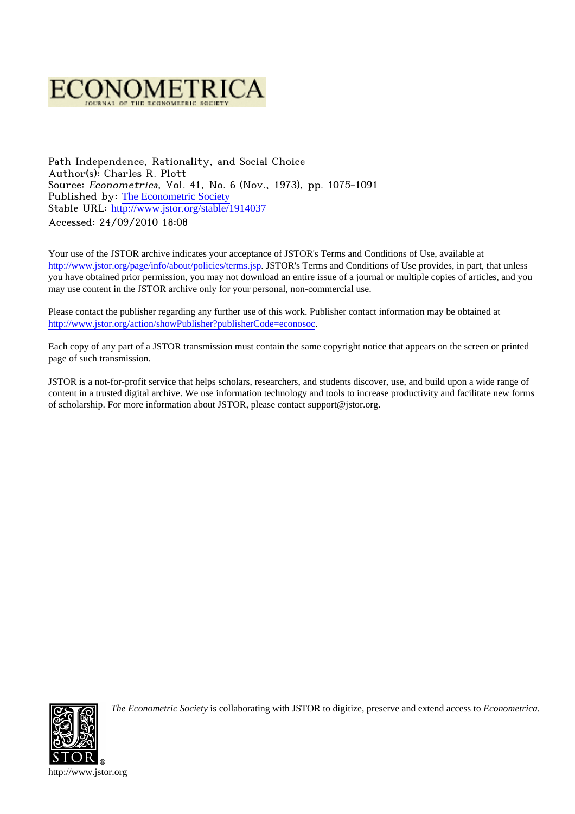

Path Independence, Rationality, and Social Choice Author(s): Charles R. Plott Source: Econometrica, Vol. 41, No. 6 (Nov., 1973), pp. 1075-1091 Published by: [The Econometric Society](http://www.jstor.org/action/showPublisher?publisherCode=econosoc) Stable URL: [http://www.jstor.org/stable/1914037](http://www.jstor.org/stable/1914037?origin=JSTOR-pdf) Accessed: 24/09/2010 18:08

Your use of the JSTOR archive indicates your acceptance of JSTOR's Terms and Conditions of Use, available at <http://www.jstor.org/page/info/about/policies/terms.jsp>. JSTOR's Terms and Conditions of Use provides, in part, that unless you have obtained prior permission, you may not download an entire issue of a journal or multiple copies of articles, and you may use content in the JSTOR archive only for your personal, non-commercial use.

Please contact the publisher regarding any further use of this work. Publisher contact information may be obtained at <http://www.jstor.org/action/showPublisher?publisherCode=econosoc>.

Each copy of any part of a JSTOR transmission must contain the same copyright notice that appears on the screen or printed page of such transmission.

JSTOR is a not-for-profit service that helps scholars, researchers, and students discover, use, and build upon a wide range of content in a trusted digital archive. We use information technology and tools to increase productivity and facilitate new forms of scholarship. For more information about JSTOR, please contact support@jstor.org.



*The Econometric Society* is collaborating with JSTOR to digitize, preserve and extend access to *Econometrica.*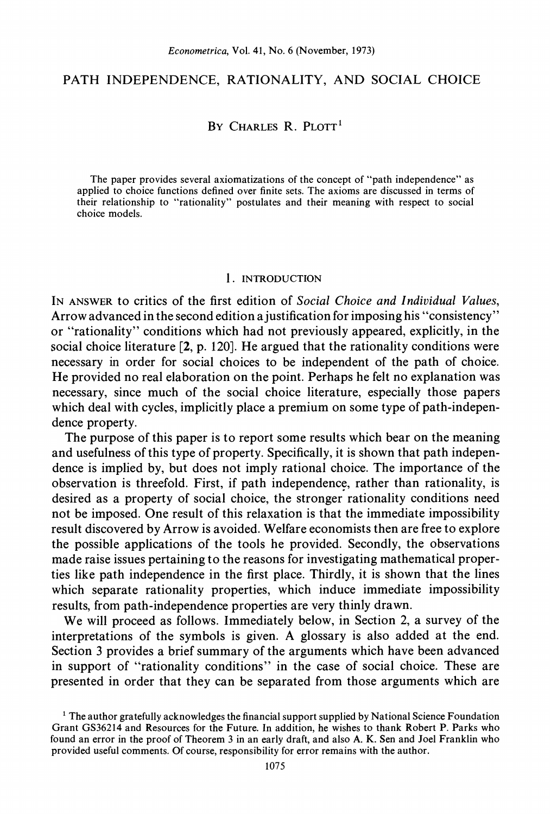# **PATH INDEPENDENCE, RATIONALITY, AND SOCIAL CHOICE**

## **BY CHARLES R. PLOTT'**

**The paper provides several axiomatizations of the concept of "path independence" as applied to choice functions defined over finite sets. The axioms are discussed in terms of their relationship to "rationality" postulates and their meaning with respect to social choice models.** 

#### **1. INTRODUCTION**

**IN ANSWER to critics of the first edition of Social Choice and Individual Values, Arrow advanced in the second edition ajustification for imposing his "consistency" or "rationality" conditions which had not previously appeared, explicitly, in the social choice literature [2, p. 120]. He argued that the rationality conditions were necessary in order for social choices to be independent of the path of choice. He provided no real elaboration on the point. Perhaps he felt no explanation was necessary, since much of the social choice literature, especially those papers which deal with cycles, implicitly place a premium on some type of path-independence property.** 

**The purpose of this paper is to report some results which bear on the meaning and usefulness of this type of property. Specifically, it is shown that path independence is implied by, but does not imply rational choice. The importance of the observation is threefold. First, if path independence, rather than rationality, is desired as a property of social choice, the stronger rationality conditions need not be imposed. One result of this relaxation is that the immediate impossibility result discovered by Arrow is avoided. Welfare economists then are free to explore the possible applications of the tools he provided. Secondly, the observations made raise issues pertaining to the reasons for investigating mathematical properties like path independence in the first place. Thirdly, it is shown that the lines which separate rationality properties, which induce immediate impossibility results, from path-independence properties are very thinly drawn.** 

**We will proceed as follows. Immediately below, in Section 2, a survey of the interpretations of the symbols is given. A glossary is also added at the end. Section 3 provides a brief summary of the arguments which have been advanced in support of "rationality conditions" in the case of social choice. These are presented in order that they can be separated from those arguments which are** 

**<sup>1</sup> The author gratefully acknowledges the financial support supplied by National Science Foundation Grant GS36214 and Resources for the Future. In addition, he wishes to thank Robert P. Parks who found an error in the proof of Theorem 3 in an early draft, and also A. K. Sen and Joel Franklin who provided useful comments. Of course, responsibility for error remains with the author.**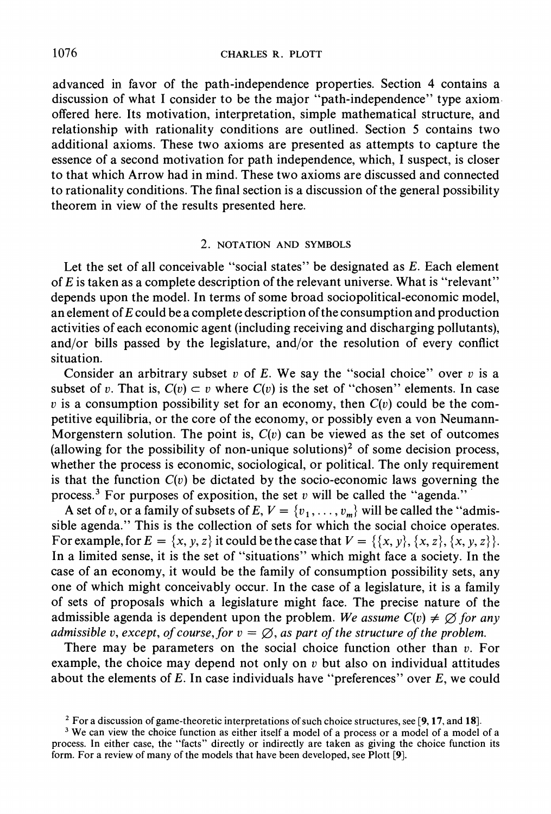**advanced in favor of the path-independence properties. Section 4 contains a discussion of what I consider to be the major "path-independence" type axiom offered here. Its motivation, interpretation, simple mathematical structure, and relationship with rationality conditions are outlined. Section 5 contains two additional axioms. These two axioms are presented as attempts to capture the essence of a second motivation for path independence, which, I suspect, is closer to that which Arrow had in mind. These two axioms are discussed and connected to rationality conditions. The final section is a discussion of the general possibility theorem in view of the results presented here.** 

#### **2. NOTATION AND SYMBOLS**

**Let the set of all conceivable "social states" be designated as E. Each element of E is taken as a complete description of the relevant universe. What is "relevant" depends upon the model. In terms of some broad sociopolitical-economic model, an element of E could be a complete description of the consumption and production activities of each economic agent (including receiving and discharging pollutants), and/or bills passed by the legislature, and/or the resolution of every conflict situation.** 

Consider an arbitrary subset  $v$  of  $E$ . We say the "social choice" over  $v$  is a subset of v. That is,  $C(v) \subset v$  where  $C(v)$  is the set of "chosen" elements. In case  $v$  is a consumption possibility set for an economy, then  $C(v)$  could be the com**petitive equilibria, or the core of the economy, or possibly even a von Neumann-**Morgenstern solution. The point is,  $C(v)$  can be viewed as the set of outcomes **(allowing for the possibility of non-unique solutions)2 of some decision process, whether the process is economic, sociological, or political. The only requirement**  is that the function  $C(v)$  be dictated by the socio-economic laws governing the **process.3 For purposes of exposition, the set v will be called the "agenda."** 

**A** set of v, or a family of subsets of E,  $V = \{v_1, \ldots, v_m\}$  will be called the "admis**sible agenda." This is the collection of sets for which the social choice operates.**  For example, for  $E = \{x, y, z\}$  it could be the case that  $V = \{\{x, y\}, \{x, z\}, \{x, y, z\}\}.$ **In a limited sense, it is the set of "situations" which might face a society. In the case of an economy, it would be the family of consumption possibility sets, any one of which might conceivably occur. In the case of a legislature, it is a family of sets of proposals which a legislature might face. The precise nature of the**  admissible agenda is dependent upon the problem. We assume  $C(v) \neq \emptyset$  for any admissible v, except, of course, for  $v = \emptyset$ , as part of the structure of the problem.

**There may be parameters on the social choice function other than v. For example, the choice may depend not only on v but also on individual attitudes about the elements of E. In case individuals have "preferences" over E, we could** 

**<sup>2</sup> For a discussion of game-theoretic interpretations of such choice structures, see [9, 17, and 18].** 

**<sup>3</sup>We can view the choice function as either itself a model of a process or a model of a model of a process. In either case, the "facts" directly or indirectly are taken as giving the choice function its form. For a review of many of the models that have been developed, see Plott [9].**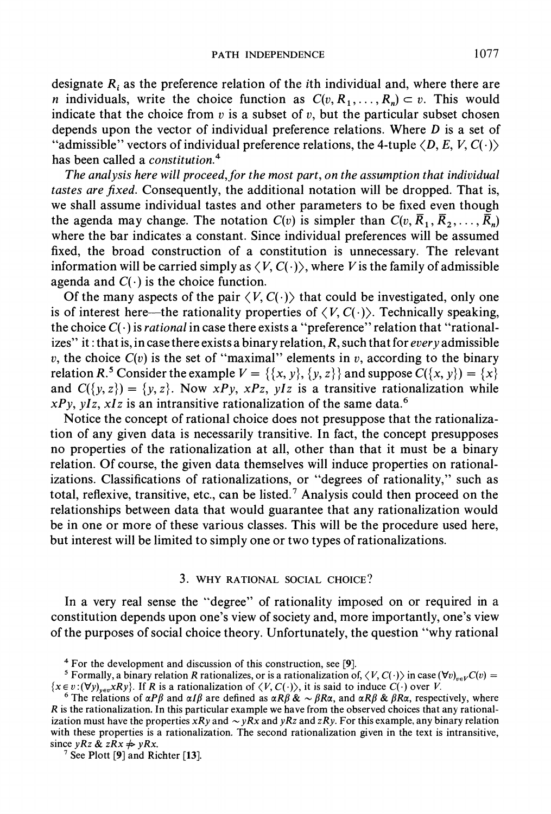designate  $R_i$  as the preference relation of the *i*th individual and, where there are **n** individuals, write the choice function as  $C(v, R_1, \ldots, R_n) \subset v$ . This would indicate that the choice from  $v$  is a subset of  $v$ , but the particular subset chosen **depends upon the vector of individual preference relations. Where D is a set of**  "admissible" vectors of individual preference relations, the 4-tuple  $\langle D, E, V, C(\cdot) \rangle$ **has been called a constitution.4** 

The analysis here will proceed, for the most part, on the assumption that individual **tastes are fixed. Consequently, the additional notation will be dropped. That is, we shall assume individual tastes and other parameters to be fixed even though**  the agenda may change. The notation  $C(v)$  is simpler than  $C(v, \overline{R}_1, \overline{R}_2, \ldots, \overline{R}_n)$ where the bar indicates a constant. Since individual preferences will be assumed **fixed, the broad construction of a constitution is unnecessary. The relevant**  information will be carried simply as  $\langle V, C(\cdot) \rangle$ , where V is the family of admissible agenda and  $C(\cdot)$  is the choice function.

Of the many aspects of the pair  $\langle V, C(\cdot) \rangle$  that could be investigated, only one is of interest here—the rationality properties of  $\langle V, C(\cdot) \rangle$ . Technically speaking, the choice  $C(\cdot)$  is *rational* in case there exists a "preference" relation that "rational**izes" it: that is, in case there exists a binary relation, R, such that for every admissible**  *v*, the choice  $C(v)$  is the set of "maximal" elements in *v*, according to the binary **relation R.<sup>5</sup> Consider the example**  $V = \{\{x, y\}, \{y, z\}\}\$  **and suppose**  $C(\{x, y\}) = \{x\}$ and  $C({y, z}) = {y, z}$ . Now  $xPy, xPz, yIz$  is a transitive rationalization while  $xPy, yIz, xIz$  is an intransitive rationalization of the same data.<sup>6</sup>

**Notice the concept of rational choice does not presuppose that the rationalization of any given data is necessarily transitive. In fact, the concept presupposes no properties of the rationalization at all, other than that it must be a binary relation. Of course, the given data themselves will induce properties on rationalizations. Classifications of rationalizations, or "degrees of rationality," such as total, reflexive, transitive, etc., can be listed.7 Analysis could then proceed on the relationships between data that would guarantee that any rationalization would be in one or more of these various classes. This will be the procedure used here, but interest will be limited to simply one or two types of rationalizations.** 

#### **3. WHY RATIONAL SOCIAL CHOICE?**

**In a very real sense the "degree" of rationality imposed on or required in a constitution depends upon one's view of society and, more importantly, one's view of the purposes of social choice theory. Unfortunately, the question "why rational** 

**7 See Plott [9] and Richter [13].** 

**For the development and discussion of this construction, see [9].** 

<sup>&</sup>lt;sup>5</sup> Formally, a binary relation R rationalizes, or is a rationalization of,  $\langle V, C(\cdot)\rangle$  in case  $(\forall v)_{v\in V}C(v)$  =

<sup>{</sup> $x \in v$ :  $(\forall y)_{y \in v} xRy$ }. If R is a rationalization of  $\langle V, C(\cdot) \rangle$ , it is said to induce  $C(\cdot)$  over V.<br>
The relations of  $\alpha P\beta$  and  $\alpha I\beta$  are defined as  $\alpha R\beta \& \sim \beta R\alpha$ , and  $\alpha R\beta \& \beta R\alpha$ , respectively, where **R is the rationalization. In this particular example we have from the observed choices that any rational**ization must have the properties  $xRy$  and  $\sim yRx$  and  $yRz$  and  $zRy$ . For this example, any binary relation **with these properties is a rationalization. The second rationalization given in the text is intransitive,**  since  $\nu Rz \& zRx \nightharpoonup \nu Rx$ .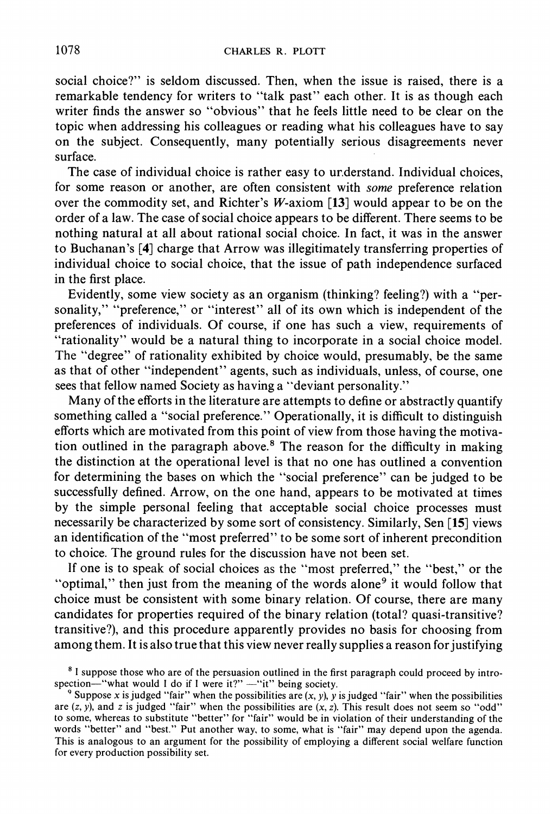**social choice?" is seldom discussed. Then, when the issue is raised, there is a remarkable tendency for writers to "talk past" each other. It is as though each writer finds the answer so "obvious" that he feels little need to be clear on the topic when addressing his colleagues or reading what his colleagues have to say on the subject. Consequently, many potentially serious disagreements never surface.** 

**The case of individual choice is rather easy to understand. Individual choices, for some reason or another, are often consistent with some preference relation over the commodity set, and Richter's W-axiom [13] would appear to be on the order of a law. The case of social choice appears to be different. There seems to be nothing natural at all about rational social choice. In fact, it was in the answer to Buchanan's [4] charge that Arrow was illegitimately transferring properties of individual choice to social choice, that the issue of path independence surfaced in the first place.** 

**Evidently, some view society as an organism (thinking? feeling?) with a "personality," "preference," or "interest" all of its own which is independent of the preferences of individuals. Of course, if one has such a view, requirements of "rationality" would be a natural thing to incorporate in a social choice model. The "degree" of rationality exhibited by choice would, presumably, be the same as that of other "independent" agents, such as individuals, unless, of course, one sees that fellow named Society as having a "deviant personality."** 

**Many of the efforts in the literature are attempts to define or abstractly quantify something called a "social preference." Operationally, it is difficult to distinguish efforts which are motivated from this point of view from those having the motivation outlined in the paragraph above.8 The reason for the difficulty in making the distinction at the operational level is that no one has outlined a convention for determining the bases on which the "social preference" can be judged to be successfully defined. Arrow, on the one hand, appears to be motivated at times by the simple personal feeling that acceptable social choice processes must necessarily be characterized by some sort of consistency. Similarly, Sen [15] views an identification of the "most preferred" to be some sort of inherent precondition to choice. The ground rules for the discussion have not been set.** 

**If one is to speak of social choices as the "most preferred," the "best," or the**  "optimal," then just from the meaning of the words alone<sup>9</sup> it would follow that **choice must be consistent with some binary relation. Of course, there are many candidates for properties required of the binary relation (total? quasi-transitive? transitive?), and this procedure apparently provides no basis for choosing from**  among them. It is also true that this view never really supplies a reason for justifying

**<sup>8</sup>I suppose those who are of the persuasion outlined in the first paragraph could proceed by intro**spection-"what would I do if I were it?" -"it" being society.

**<sup>&#</sup>x27; Suppose x is judged "fair" when the possibilities are (x, y), y is judged "fair" when the possibilities are (z, y), and z is judged "fair" when the possibilities are (x, z). This result does not seem so "odd" to some, whereas to substitute "better" for "fair" would be in violation of their understanding of the words "better" and "best." Put another way, to some, what is "fair" may depend upon the agenda. This is analogous to an argument for the possibility of employing a different social welfare function for every production possibility set.**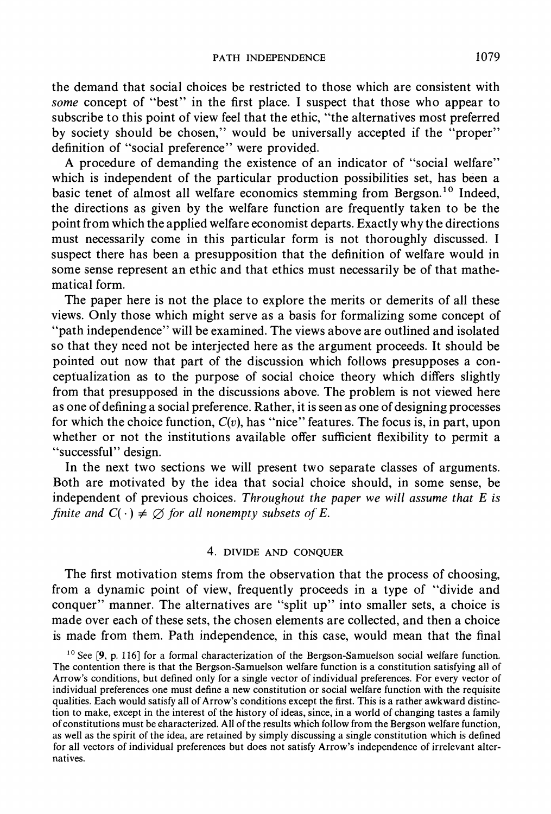**the demand that social choices be restricted to those which are consistent with some concept of "best" in the first place. I suspect that those who appear to subscribe to this point of view feel that the ethic, "the alternatives most preferred by society should be chosen," would be universally accepted if the "proper" definition of "social preference" were provided.** 

**A procedure of demanding the existence of an indicator of "social welfare" which is independent of the particular production possibilities set, has been a basic tenet of almost all welfare economics stemming from Bergson."0 Indeed, the directions as given by the welfare function are frequently taken to be the point from which the applied welfare economist departs. Exactly why the directions must necessarily come in this particular form is not thoroughly discussed. I suspect there has been a presupposition that the definition of welfare would in some sense represent an ethic and that ethics must necessarily be of that mathematical form.** 

**The paper here is not the place to explore the merits or demerits of all these views. Only those which might serve as a basis for formalizing some concept of "path independence" will be examined. The views above are outlined and isolated so that they need not be interjected here as the argument proceeds. It should be pointed out now that part of the discussion which follows presupposes a conceptualization as to the purpose of social choice theory which differs slightly from that presupposed in the discussions above. The problem is not viewed here as one of defining a social preference. Rather, it is seen as one of designing processes for which the choice function, C(v), has "nice" features. The focus is, in part, upon whether or not the institutions available offer sufficient flexibility to permit a "successful" design.** 

**In the next two sections we will present two separate classes of arguments. Both are motivated by the idea that social choice should, in some sense, be independent of previous choices. Throughout the paper we will assume that E is**  finite and  $C(\cdot) \neq \emptyset$  for all nonempty subsets of E.

#### **4. DIVIDE AND CONQUER**

**The first motivation stems from the observation that the process of choosing, from a dynamic point of view, frequently proceeds in a type of "divide and conquer" manner. The alternatives are "split up" into smaller sets, a choice is made over each of these sets, the chosen elements are collected, and then a choice is made from them. Path independence, in this case, would mean that the final** 

**<sup>10</sup> See [9, p. 116] for a formal characterization of the Bergson-Samuelson social welfare function. The contention there is that the Bergson-Samuelson welfare function is a constitution satisfying all of Arrow's conditions, but defined only for a single vector of individual preferences. For every vector of individual preferences one must define a new constitution or social welfare function with the requisite qualities. Each would satisfy all of Arrow's conditions except the first. This is a rather awkward distinction to make, except in the interest of the history of ideas, since, in a world of changing tastes a family of constitutions must be characterized. All of the results which follow from the Bergson welfare function, as well as the spirit of the idea, are retained by simply discussing a single constitution which is defined for all vectors of individual preferences but does not satisfy Arrow's independence of irrelevant alternatives.**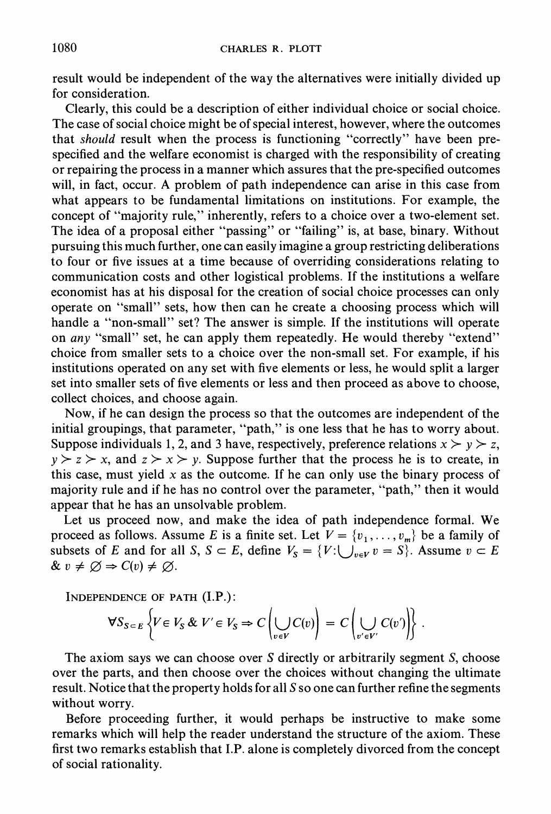**result would be independent of the way the alternatives were initially divided up for consideration.** 

**Clearly, this could be a description of either individual choice or social choice. The case of social choice might be of special interest, however, where the outcomes that should result when the process is functioning "correctly" have been prespecified and the welfare economist is charged with the responsibility of creating or repairing the process in a manner which assures that the pre-specified outcomes will, in fact, occur. A problem of path independence can arise in this case from what appears to be fundamental limitations on institutions. For example, the concept of "majority rule," inherently, refers to a choice over a two-element set. The idea of a proposal either "passing" or "failing" is, at base, binary. Without pursuing this much further, one can easily imagine a group restricting deliberations to four or five issues at a time because of overriding considerations relating to communication costs and other logistical problems. If the institutions a welfare economist has at his disposal for the creation of social choice processes can only operate on "small" sets, how then can he create a choosing process which will handle a "non-small" set? The answer is simple. If the institutions will operate on any "small" set, he can apply them repeatedly. He would thereby "extend" choice from smaller sets to a choice over the non-small set. For example, if his institutions operated on any set with five elements or less, he would split a larger set into smaller sets of five elements or less and then proceed as above to choose, collect choices, and choose again.** 

**Now, if he can design the process so that the outcomes are independent of the initial groupings, that parameter, "path," is one less that he has to worry about.**  Suppose individuals 1, 2, and 3 have, respectively, preference relations  $x > y > z$ ,  $y \ge z \ge x$ , and  $z \ge x \ge y$ . Suppose further that the process he is to create, in this case, must yield  $x$  as the outcome. If he can only use the binary process of **majority rule and if he has no control over the parameter, "path," then it would appear that he has an unsolvable problem.** 

**Let us proceed now, and make the idea of path independence formal. We**  proceed as follows. Assume E is a finite set. Let  $V = \{v_1, \ldots, v_m\}$  be a family of subsets of E and for all S,  $S \subset E$ , define  $V_S = \{V: \bigcup_{v \in V} v = S\}$ . Assume  $v \subset E$  $\& v \neq \emptyset \Rightarrow C(v) \neq \emptyset.$ 

**INDEPENDENCE OF PATH (I.P.):** 

$$
\forall S_{S \subset E} \left\{ V \in V_S \& V' \in V_S \Rightarrow C \left( \bigcup_{v \in V} C(v) \right) = C \left( \bigcup_{v' \in V'} C(v') \right) \right\}
$$

**The axiom says we can choose over S directly or arbitrarily segment S, choose over the parts, and then choose over the choices without changing the ultimate result. Notice that the property holds for all S so one can further refine the segments without worry.** 

**Before proceeding further, it would perhaps be instructive to make some remarks which will help the reader understand the structure of the axiom. These first two remarks establish that I.P. alone is completely divorced from the concept of social rationality.**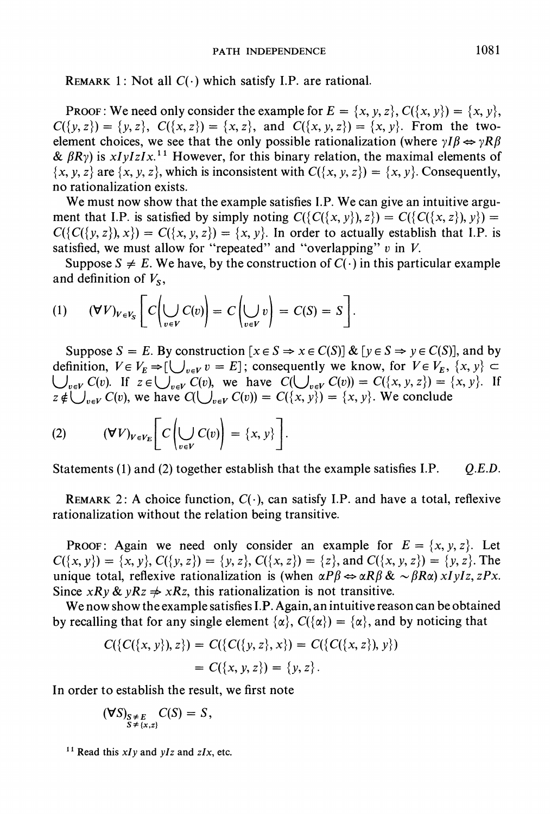**REMARK** 1: Not all  $C(\cdot)$  which satisfy I.P. are rational.

**PROOF:** We need only consider the example for  $E = \{x, y, z\}$ ,  $C(\{x, y\}) = \{x, y\}$ ,  $C({y, z}) = {y, z}$ ,  $C({x, z}) = {x, z}$ , and  $C({x, y, z}) = {x, y}$ . From the twoelement choices, we see that the only possible rationalization (where  $\gamma I \beta \Leftrightarrow \gamma R\beta$  $\& \beta R_y$ ) is xIyIzIx.<sup>11</sup> However, for this binary relation, the maximal elements of  $\{x, y, z\}$  are  $\{x, y, z\}$ , which is inconsistent with  $C(\{x, y, z\}) = \{x, y\}$ . Consequently, **no rationalization exists.** 

**We must now show that the example satisfies I.P. We can give an intuitive argument that I.P.** is satisfied by simply noting  $C({C(x, y), z}) = C({C(x, z), y}) =$  $C({C(y, z), x}) = C({x, y, z}) = {x, y}$ . In order to actually establish that I.P. is satisfied, we must allow for "repeated" and "overlapping"  $v$  in  $V$ .

Suppose  $S \neq E$ . We have, by the construction of  $C(\cdot)$  in this particular example and definition of  $V_s$ ,

$$
(1) \qquad (\forall V)_{V \in V_S} \left[ C \left( \bigcup_{v \in V} C(v) \right) = C \left( \bigcup_{v \in V} v \right) = C(S) = S \right].
$$

Suppose  $S = E$ . By construction  $[x \in S \Rightarrow x \in C(S)]$  &  $[y \in S \Rightarrow y \in C(S)]$ , and by **definition,**  $V \in V_E \Rightarrow [\bigcup_{v \in V} v = E]$ ; consequently we know, for  $V \in V_E$ ,  $\{x, y\} \subset$  $\bigcup_{v \in V} C(v)$ . If  $z \in \bigcup_{v \in V} C(v)$ , we have  $C(\bigcup_{v \in V} C(v)) = C(\{x, y, z\}) = \{x, y\}$ . If  $Z \notin \bigcup_{v \in V} C(v)$ , we have  $C(\bigcup_{v \in V} C(v)) = C(\{x, y\}) = \{x, y\}$ . We conclude

$$
(2) \qquad (\forall V)_{V \in V_E} \bigg[ C \bigg( \bigcup_{v \in V} C(v) \bigg) = \{x, y\} \bigg].
$$

**Statements (1) and (2) together establish that the example satisfies I.P. Q.E.D.** 

**REMARK 2: A choice function, C(-), can satisfy I.P. and have a total, reflexive rationalization without the relation being transitive.** 

**PROOF:** Again we need only consider an example for  $E = \{x, y, z\}$ . Let  $C(\{x, y\}) = \{x, y\}, C(\{y, z\}) = \{y, z\}, C(\{x, z\}) = \{z\}, \text{and } C(\{x, y, z\}) = \{y, z\}.$  The **unique total, reflexive rationalization is (when**  $\alpha P \beta \Leftrightarrow \alpha R \beta \& \sim \beta R \alpha$ **)**  $xI yIz, zPx$ **.** Since  $xRy \& yRz \Rightarrow xRz$ , this rationalization is not transitive.

**We now show the example satisfies I.P. Again, an intuitive reason can be obtained**  by recalling that for any single element  $\{\alpha\}$ ,  $C(\{\alpha\}) = \{\alpha\}$ , and by noticing that

$$
C(\{C(\{x, y\}), z\}) = C(\{C(\{y, z\}, x\}) = C(\{C(\{x, z\}), y\})
$$
  
= 
$$
C(\{x, y, z\}) = \{y, z\}.
$$

**In order to establish the result, we first note** 

$$
(\forall S)_{\substack{S \neq E \\ S \neq \{x,z\}}} C(S) = S,
$$

<sup>11</sup> Read this  $xIy$  and  $yIz$  and  $zIx$ , etc.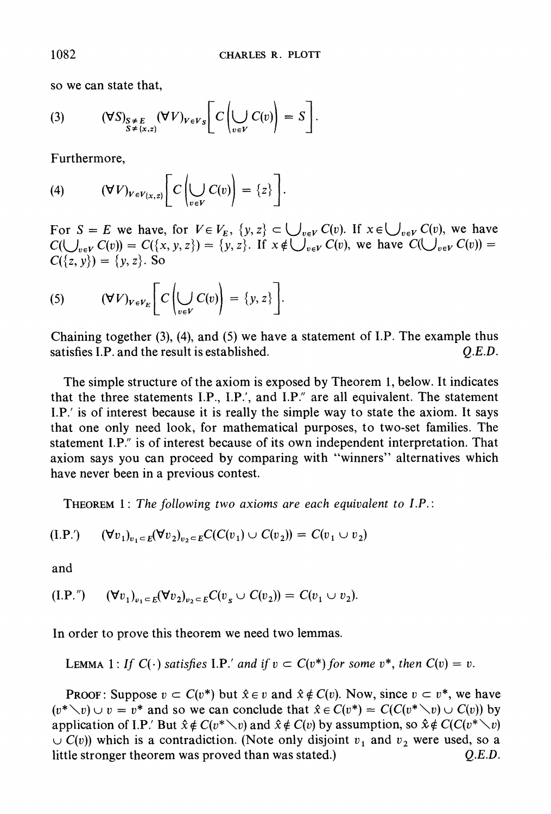**so we can state that,** 

(3) 
$$
(\forall S)_{\substack{S \neq E \\ S \neq \{x,z\}}} (\forall V)_{V \in V_S} \bigg[ C \bigg( \bigcup_{v \in V} C(v) \bigg) = S \bigg].
$$

**Furthermore,** 

$$
(4) \qquad (\forall V)_{V \in V_{\{x,z\}}} \bigg[ C \bigg( \bigcup_{v \in V} C(v) \bigg) = \{z\} \bigg].
$$

For  $S = E$  we have, for  $V \in V_E$ ,  $\{y, z\} \subset \bigcup_{v \in V} C(v)$ . If  $x \in \bigcup_{v \in V} C(v)$ , we have  $C(\bigcup_{v \in V} C(v)) = C(\{x, y, z\}) = \{y, z\}$ . If  $x \notin \overline{\bigcup_{v \in V} C(v)}$ , we have  $C(\bigcup_{v \in V} C(v)) =$  $C({z, y}) = {y, z}.$  So

$$
(5) \qquad (\forall V)_{V \in V_E} \Bigg[ C \left( \bigcup_{v \in V} C(v) \right) = \{y, z\} \Bigg].
$$

**Chaining together (3), (4), and (5) we have a statement of I.P. The example thus satisfies I.P. and the result is established.** Q.E.D.

**The simple structure of the axiom is exposed by Theorem 1, below. It indicates that the three statements I.P., I.P.', and I.P." are all equivalent. The statement IP.' is of interest because it is really the simple way to state the axiom. It says that one only need look, for mathematical purposes, to two-set families. The statement I.P." is of interest because of its own independent interpretation. That axiom says you can proceed by comparing with "'winners" alternatives which have never been in a previous contest.** 

**THEOREM 1: The following two axioms are each equivalent to I.P.:** 

$$
(I.P.) \qquad (\forall v_1)_{v_1 \subset E} (\forall v_2)_{v_2 \subset E} C(C(v_1) \cup C(v_2)) = C(v_1 \cup v_2)
$$

**and** 

$$
(I.P.") \qquad (\forall v_1)_{v_1 \subset E} (\forall v_2)_{v_2 \subset E} C(v_s \cup C(v_2)) = C(v_1 \cup v_2).
$$

**In order to prove this theorem we need two lemmas.** 

**LEMMA** 1: If  $C(\cdot)$  satisfies I.P.' and if  $v \subset C(v^*)$  for some  $v^*$ , then  $C(v) = v$ .

**PROOF:** Suppose  $v \subset C(v^*)$  but  $\hat{x} \in v$  and  $\hat{x} \notin C(v)$ . Now, since  $v \subset v^*$ , we have  $(v^*\setminus v) \cup v = v^*$  and so we can conclude that  $\hat{x} \in C(v^*) = C(C(v^*\setminus v) \cup C(v))$  by application of I.P.' But  $\hat{x} \notin C(v^*\setminus v)$  and  $\hat{x} \notin C(v)$  by assumption, so  $\hat{x} \notin C(C(v^*\setminus v))$  $\cup$  C(v)) which is a contradiction. (Note only disjoint  $v_1$  and  $v_2$  were used, so a little stronger theorem was proved than was stated.)  $Q.E.D.$ little stronger theorem was proved than was stated.)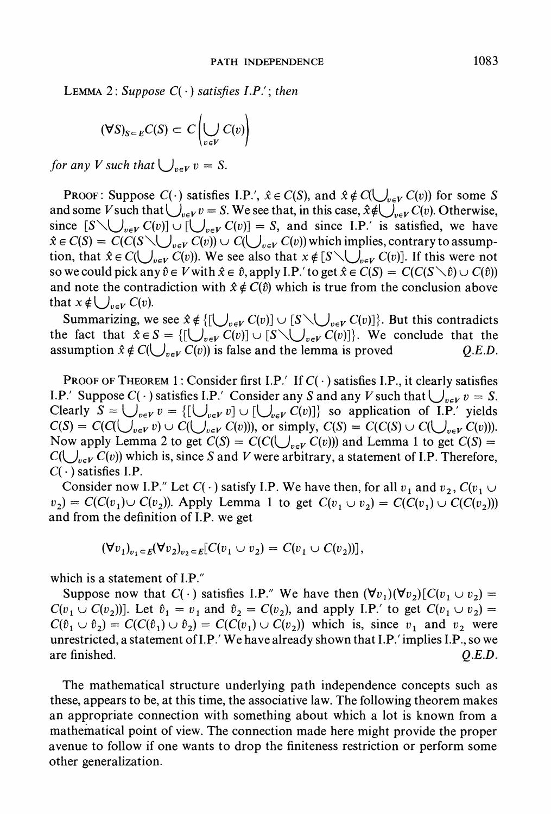**LEMMA** 2: Suppose  $C(\cdot)$  satisfies  $I.P.'$ ; then

$$
(\forall S)_{S\subset E}C(S)\subset C\left(\bigcup_{v\in V}C(v)\right)
$$

for any V such that  $\bigcup_{v \in V} v = S$ .

**PROOF:** Suppose  $C(\cdot)$  satisfies I.P.',  $\hat{x} \in C(S)$ , and  $\hat{x} \notin C(\bigcup_{v \in V} C(v))$  for some S and some V such that  $\bigcup_{v \in V} v = S$ . We see that, in this case,  $\hat{\mathbf{x}} \notin \bigcup_{v \in V} C(v)$ . Otherwise, **since**  $[S \setminus \bigcup_{v \in V} C(v)] \cup [\bigcup_{v \in V} C(v)] = S$ , and since I.P.' is satisfied, we have  $\hat{x} \in C(S) = C(C(S \setminus \bigcup_{v \in V} C(v)) \cup C(\bigcup_{v \in V} C(v))$  which implies, contrary to assumption, that  $\hat{x} \in C(\bigcup_{v \in V} C(v))$ . We see also that  $x \notin [S \setminus \bigcup_{v \in V} C(v)]$ . If this were not **so we could pick any**  $\hat{v} \in V$  with  $\hat{x} \in \hat{v}$ , apply I.P.' to get  $\hat{x} \in C(S) = C(C(S \setminus \hat{v}) \cup C(\hat{v}))$ and note the contradiction with  $\hat{x} \notin C(\hat{v})$  which is true from the conclusion above that  $x \notin \bigcup_{v \in V} C(v)$ .

**Summarizing, we see**  $\hat{x} \notin \{[\bigcup_{v \in V} C(v)] \cup [S \setminus \bigcup_{v \in V} C(v)]\}$ . But this contradicts the fact that  $\hat{x} \in S = \{[\bigcup_{v \in V} C(v)] \cup [S \setminus \bigcup_{v \in V} C(v)]\}$ . We conclude that the assumption  $\hat{x} \notin C(\bigcup_{v \in V} C(v))$  is false and the lamma is proved **assumption**  $\hat{x} \notin C(\bigcup_{v \in V} C(v))$  is false and the lemma is proved  $Q.E.D.$ 

**PROOF OF THEOREM 1: Consider first I.P.' If**  $C(\cdot)$  **satisfies I.P., it clearly satisfies I.P.'** Suppose  $C(\cdot)$  satisfies I.P.' Consider any S and any V such that  $\bigcup_{v \in V} v = S$ . Clearly  $S = \bigcup_{v \in V} v = \{[\bigcup_{v \in V} v] \cup [\bigcup_{v \in V} C(v)]\}$  so application of I.P.' yields  $C(S) = C(C(\bigcup_{v \in V} v) \cup C(\bigcup_{v \in V} C(v)))$ , or simply,  $C(S) = C(C(S) \cup C(\bigcup_{v \in V} C(v)))$ . Now apply Lemma 2 to get  $C(S) = C(C(\bigcup_{v \in V} C(v)))$  and Lemma 1 to get  $C(S)$  =  $C(\bigcup_{v\in V} C(v))$  which is, since S and V were arbitrary, a statement of I.P. Therefore,  $C(\cdot)$  satisfies I.P.

Consider now I.P." Let  $C(\cdot)$  satisfy I.P. We have then, for all  $v_1$  and  $v_2$ ,  $C(v_1 \cup$  $v_2$ ) =  $C(C(v_1) \cup C(v_2))$ . Apply Lemma 1 to get  $C(v_1 \cup v_2) = C(C(v_1) \cup C(C(v_2)))$ **and from the definition of I.P. we get** 

$$
(\forall v_1)_{v_1 \subset E} (\forall v_2)_{v_2 \subset E} [C(v_1 \cup v_2) = C(v_1 \cup C(v_2))],
$$

**which is a statement of I.P."** 

**Suppose now that**  $C(\cdot)$  **satisfies I.P."** We have then  $(\forall v_1)(\forall v_2)[C(v_1 \cup v_2)]$  $C(v_1 \cup C(v_2))$ ]. Let  $\hat{v}_1 = v_1$  and  $\hat{v}_2 = C(v_2)$ , and apply I.P.' to get  $C(v_1 \cup v_2) =$  $C(\hat{v}_1 \cup \hat{v}_2) = C(C(\hat{v}_1) \cup \hat{v}_2) = C(C(v_1) \cup C(v_2))$  which is, since  $v_1$  and  $v_2$  were **unrestricted, a statement of I.P.' We have already shown that I.P.' implies I.P., so we are finished.**  $Q.E.D.$ 

**The mathematical structure underlying path independence concepts such as these, appears to be, at this time, the associative law. The following theorem makes an appropriate connection with something about which a lot is known from a mathematical point of view. The connection made here might provide the proper avenue to follow if one wants to drop the finiteness restriction or perform some other generalization.**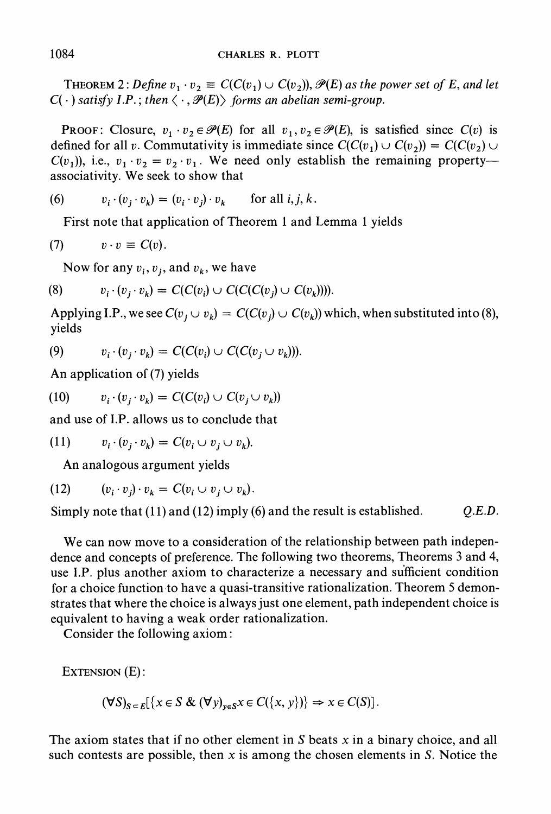**THEOREM 2:** Define  $v_1 \cdot v_2 \equiv C(C(v_1) \cup C(v_2))$ ,  $\mathcal{P}(E)$  as the power set of E, and let  $C(\cdot)$  satisfy I.P.; then  $\langle \cdot, \mathcal{P}(E) \rangle$  forms an abelian semi-group.

**PROOF:** Closure,  $v_1 \cdot v_2 \in \mathcal{P}(E)$  for all  $v_1, v_2 \in \mathcal{P}(E)$ , is satisfied since  $C(v)$  is defined for all v. Commutativity is immediate since  $C(C(v_1) \cup C(v_2)) = C(C(v_2) \cup C(v_1))$  $C(v_1)$ ), i.e.,  $v_1 \cdot v_2 = v_2 \cdot v_1$ . We need only establish the remaining property**associativity. We seek to show that** 

(6) 
$$
v_i \cdot (v_j \cdot v_k) = (v_i \cdot v_j) \cdot v_k \quad \text{for all } i, j, k.
$$

**First note that application of Theorem 1 and Lemma 1 yields** 

$$
(7) \t v \cdot v \equiv C(v).
$$

Now for any  $v_i$ ,  $v_j$ , and  $v_k$ , we have

$$
(8) \t v_i \cdot (v_j \cdot v_k) = C(C(v_i) \cup C(C(C(v_j) \cup C(v_k)))).
$$

Applying I.P., we see  $C(v_i \cup v_k) = C(C(v_i) \cup C(v_k))$  which, when substituted into (8), **yields** 

$$
(9) \t v_i \cdot (v_j \cdot v_k) = C(C(v_i) \cup C(C(v_j \cup v_k))).
$$

**An application of (7) yields** 

$$
(10) \qquad v_i \cdot (v_j \cdot v_k) = C(C(v_i) \cup C(v_j \cup v_k))
$$

**and use of I.P. allows us to conclude that** 

$$
(11) \t v_i \cdot (v_j \cdot v_k) = C(v_i \cup v_j \cup v_k).
$$

**An analogous argument yields** 

$$
(12) \qquad (v_i \cdot v_j) \cdot v_k = C(v_i \cup v_j \cup v_k).
$$

**Simply note that (11) and (12) imply (6) and the result is established. Q.E.D.** 

**We can now move to a consideration of the relationship between path independence and concepts of preference. The following two theorems, Theorems 3 and 4, use I.P. plus another axiom to characterize a necessary and sufficient condition for a choice function to have a quasi-transitive rationalization. Theorem 5 demonstrates that where the choice is always just one element, path independent choice is equivalent to having a weak order rationalization.** 

**Consider the following axiom:** 

**EXTENSION (E):** 

$$
(\forall S)_{S=E}[\{x \in S \& (\forall y)_{y \in S} x \in C(\{x, y\})\} \Rightarrow x \in C(S)].
$$

**The axiom states that if no other element in S beats x in a binary choice, and all such contests are possible, then x is among the chosen elements in S. Notice the**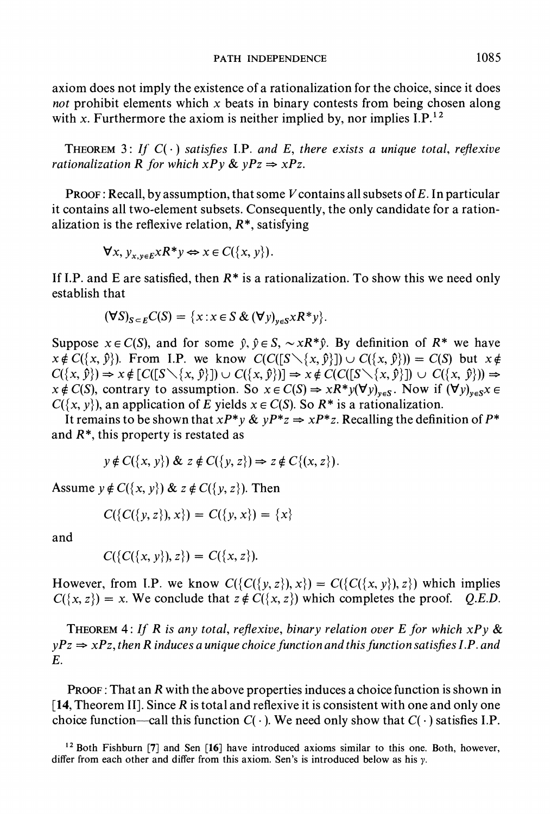**axiom does not imply the existence of a rationalization for the choice, since it does not prohibit elements which x beats in binary contests from being chosen along**  with x. Furthermore the axiom is neither implied by, nor implies  $I.P.^12$ 

**THEOREM** 3: If  $C(\cdot)$  satisfies I.P. and E, there exists a unique total, reflexive rationalization **R** for which  $xPy \& yPz \Rightarrow xPz$ .

**PROOF: Recall, by assumption, that some V contains all subsets of E. In particular it contains all two-element subsets. Consequently, the only candidate for a rationalization is the reflexive relation, R\*, satisfying** 

$$
\forall x, y_{x,y\in E} x R^* y \Leftrightarrow x \in C({x, y}).
$$

If I.P. and E are satisfied, then  $R^*$  is a rationalization. To show this we need only **establish that** 

$$
(\forall S)_{S\subset E}C(S)=\{x:x\in S\&(\forall y)_{y\in S}xR^*y\}.
$$

Suppose  $x \in C(S)$ , and for some  $\hat{y}, \hat{y} \in S$ ,  $\sim xR^*\hat{y}$ . By definition of  $R^*$  we have  $x \notin C({x, \hat{y}})$ . From I.P. we know  $C(C([S\setminus {x, \hat{y}}]) \cup C({x, \hat{y}})) = C(S)$  but  $x \notin$  $C(\lbrace x, \hat{y} \rbrace) \Rightarrow x \notin [C([S\setminus\lbrace x, \hat{y} \rbrace]) \cup C(\lbrace x, \hat{y} \rbrace)] \Rightarrow x \notin C(C([S\setminus\lbrace x, \hat{y} \rbrace]) \cup C(\lbrace x, \hat{y} \rbrace)) \Rightarrow$  $x \notin C(S)$ , contrary to assumption. So  $x \in C(S) \Rightarrow xR^*y(\forall y)_{y \in S}$ . Now if  $(\forall y)_{y \in S} x \in$  $C({x, y})$ , an application of E yields  $x \in C(S)$ . So  $\mathbb{R}^*$  is a rationalization.

It remains to be shown that  $xP^*y \& yP^*z \Rightarrow xP^*z$ . Recalling the definition of  $P^*$ **and R\*, this property is restated as** 

$$
y \notin C({x, y}) \& z \notin C({y, z}) \Rightarrow z \notin C({x, z}).
$$

Assume  $y \notin C({x, y}) \& z \notin C({y, z})$ . Then

$$
C({C(y,z),x}) = C({y,x}) = {x}
$$

**and** 

$$
C({C({x, y}), z}) = C({x, z}).
$$

However, from I.P. we know  $C({C(\{y, z\}), x}) = C({C(\{x, y\}), z})$  which implies  $C({x, z}) = x$ . We conclude that  $z \notin C({x, z})$  which completes the proof. *Q.E.D.* 

**THEOREM 4: If R is any total, reflexive, binary relation over E for which xPy &**   $\gamma Pz \Rightarrow xPz$ , then R induces a unique choice function and this function satisfies I.P. and **E.** 

**PROOF: That an R with the above properties induces a choice function is shown in [14, Theorem II]. Since R is total and reflexive it is consistent with one and only one**  choice function—call this function  $C(\cdot)$ . We need only show that  $C(\cdot)$  satisfies I.P.

**<sup>12</sup>Both Fishburn [7] and Sen [16] have introduced axioms similar to this one. Both, however, differ from each other and differ from this axiom. Sen's is introduced below as his y.**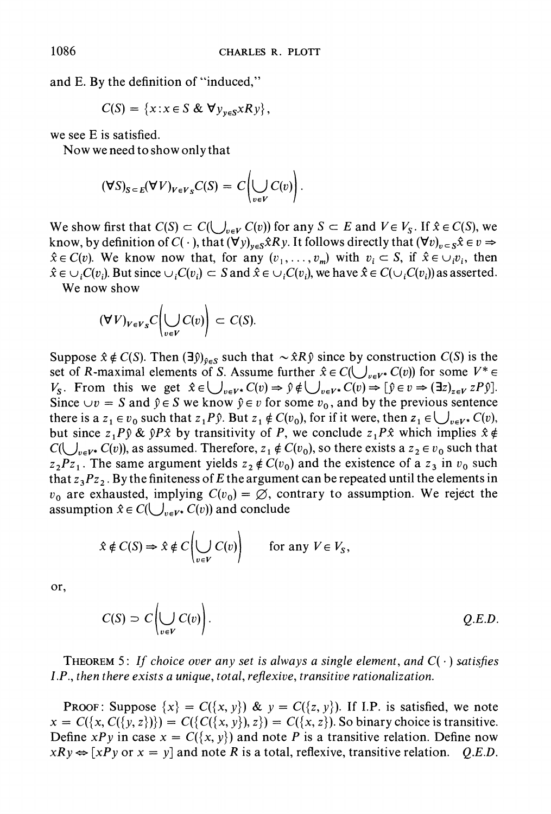**and E. By the definition of "induced,"** 

$$
C(S) = \{x : x \in S \& \forall y_{y \in S} x R y\},\,
$$

**we see E is satisfied.** 

**Now we need to show only that** 

$$
(\forall S)_{S=E}(\forall V)_{V\in V_{S}}C(S)=C\left(\bigcup_{v\in V}C(v)\right).
$$

We show first that  $C(S) \subset C(\bigcup_{v \in V} C(v))$  for any  $S \subset E$  and  $V \in V_S$ . If  $\hat{x} \in C(S)$ , we know, by definition of  $C(\cdot)$ , that  $(\forall y)_{y \in S}$   $\hat{x}Ry$ . It follows directly that  $(\forall v)_{v \in S}$   $\hat{x} \in v \Rightarrow$  $\hat{x} \in C(v)$ . We know now that, for any  $(v_1, \ldots, v_m)$  with  $v_i \subset S$ , if  $\hat{x} \in \bigcup_i v_i$ , then  $\hat{x} \in \bigcup_{i} C(v_i)$ . But since  $\bigcup_{i} C(v_i) \subset S$  and  $\hat{x} \in \bigcup_{i} C(v_i)$ , we have  $\hat{x} \in C(\bigcup_{i} C(v_i))$  as asserted. **We now show** 

$$
(\forall V)_{V \in V_S} C \Biggl( \bigcup_{v \in V} C(v) \Biggr) \subset C(S).
$$

**Suppose**  $\hat{x} \notin C(S)$ . Then  $(\exists \hat{y})_{\hat{y} \in S}$  such that  $\sim \hat{x}R\hat{y}$  since by construction  $C(S)$  is the **set of R-maximal elements of S. Assume further**  $\hat{x} \in C(\bigcup_{v \in V^*} C(v))$  **for some**  $V^* \in$  $V_S$ . From this we get  $\hat{x} \in \bigcup_{v \in V^*} C(v) \Rightarrow \hat{y} \notin \bigcup_{v \in V^*} C(v) \Rightarrow [\hat{y} \in v \Rightarrow (\exists z)_{z \in V} zP\hat{y}].$ Since  $\cup v = S$  and  $\hat{y} \in S$  we know  $\hat{y} \in v$  for some  $v_0$ , and by the previous sentence **there is a**  $z_1 \in v_0$  such that  $z_1 P \hat{y}$ . But  $z_1 \notin C(v_0)$ , for if it were, then  $z_1 \in \bigcup_{v \in V^*} C(v)$ , but since  $z_1P\hat{y} \& \hat{y}P\hat{x}$  by transitivity of P, we conclude  $z_1P\hat{x}$  which implies  $\hat{x} \notin$  $C(\bigcup_{v\in V^*} C(v))$ , as assumed. Therefore,  $z_1 \notin C(v_0)$ , so there exists a  $z_2 \in v_0$  such that  $z_2Pz_1$ . The same argument yields  $z_2 \notin C(v_0)$  and the existence of a  $z_3$  in  $v_0$  such that  $z_3P_2$ . By the finiteness of E the argument can be repeated until the elements in  $v_0$  are exhausted, implying  $C(v_0) = \emptyset$ , contrary to assumption. We reject the assumption  $\hat{x} \in C(\bigcup_{v \in V^*} C(v))$  and conclude

$$
\hat{x} \notin C(S) \Rightarrow \hat{x} \notin C\left(\bigcup_{v \in V} C(v)\right) \quad \text{for any } V \in V_S,
$$

**or,** 

$$
C(S) \supset C\left(\bigcup_{v\in V} C(v)\right).
$$
 Q.E.D.

**THEOREM** 5: If choice over any set is always a single element, and  $C(\cdot)$  satisfies **I.P., then there exists a unique, total, reflexive, transitive rationalization.** 

**PROOF:** Suppose  $\{x\} = C(\{x, y\})$  &  $y = C(\{z, y\})$ . If I.P. is satisfied, we note  $x = C({x, C({y, z})}) = C({C({x, y}, z), z) = C({x, z})$ . So binary choice is transitive. Define  $xPy$  in case  $x = C({x, y})$  and note P is a transitive relation. Define now  $xRy \Leftrightarrow [xPy \text{ or } x = y]$  and note R is a total, reflexive, transitive relation. *Q.E.D.*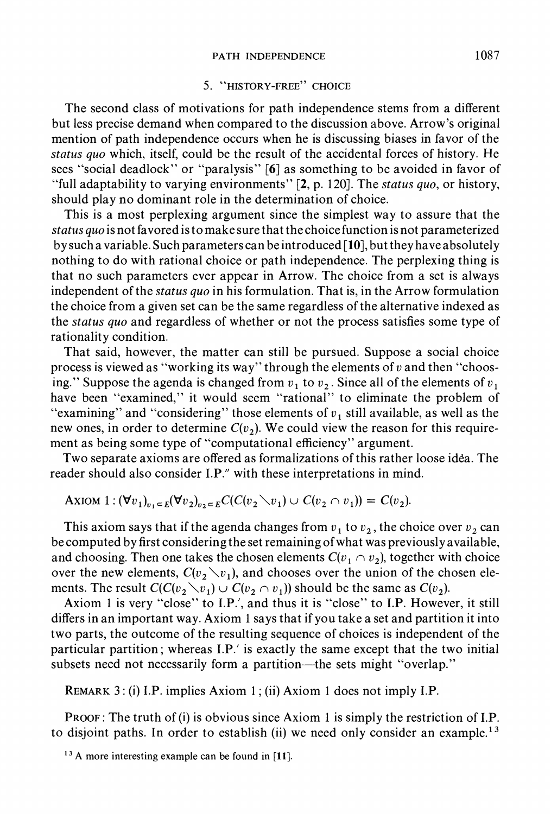#### **PATH INDEPENDENCE 1087**

#### **5. "HISTORY-FREE" CHOICE**

**The second class of motivations for path independence stems from a different but less precise demand when compared to the discussion above. Arrow's original mention of path independence occurs when he is discussing biases in favor of the status quo which, itself, could be the result of the accidental forces of history. He sees "social deadlock" or "paralysis" [6] as something to be avoided in favor of "full adaptability to varying environments" [2, p. 120]. The status quo, or history, should play no dominant role in the determination of choice.** 

**This is a most perplexing argument since the simplest way to assure that the status quo is not favored is to make sure that the choice function is not parameterized by such a variable. Such parameters can be introduced [10], but they have absolutely nothing to do with rational choice or path independence. The perplexing thing is that no such parameters ever appear in Arrow. The choice from a set is always independent of the status quo in his formulation. That is, in the Arrow formulation the choice from a given set can be the same regardless of the alternative indexed as the status quo and regardless of whether or not the process satisfies some type of rationality condition.** 

**That said, however, the matter can still be pursued. Suppose a social choice process is viewed as "working its way" through the elements of v and then "choos**ing." Suppose the agenda is changed from  $v_1$  to  $v_2$ . Since all of the elements of  $v_1$ have been "examined," it would seem "rational" to eliminate the problem of "examining" and "considering" those elements of  $v_1$  still available, as well as the new ones, in order to determine  $C(v_2)$ . We could view the reason for this require**ment as being some type of "computational efficiency" argument.** 

**Two separate axioms are offered as formalizations of this rather loose idea. The reader should also consider I.P." with these interpretations in mind.** 

**AXIOM**  $1: (\forall v_1)_{v_1 \in E} (\forall v_2)_{v_2 \in E} C(C(v_2 \setminus v_1) \cup C(v_2 \cap v_1)) = C(v_2)$ 

This axiom says that if the agenda changes from  $v_1$  to  $v_2$ , the choice over  $v_2$  can **be computed by first considering the set remaining of what was previously available,**  and choosing. Then one takes the chosen elements  $C(v_1 \cap v_2)$ , together with choice over the new elements,  $C(v_2 \setminus v_1)$ , and chooses over the union of the chosen ele**ments.** The result  $C(C(v_2 \setminus v_1) \cup C(v_2 \cap v_1))$  should be the same as  $C(v_2)$ .

**Axiom 1 is very "close" to I.P.', and thus it is "close" to I.P. However, it still differs in an important way. Axiom 1 says that if you take a set and partition it into two parts, the outcome of the resulting sequence of choices is independent of the particular partition; whereas I-P.' is exactly the same except that the two initial**  subsets need not necessarily form a partition—the sets might "overlap."

**REMARK 3: (i) I.P. implies Axiom 1; (ii) Axiom 1 does not imply I.P.** 

**PROOF: The truth of (i) is obvious since Axiom 1 is simply the restriction of I.P. to disjoint paths. In order to establish (ii) we need only consider an example."3** 

**13 A more interesting example can be found in [11].**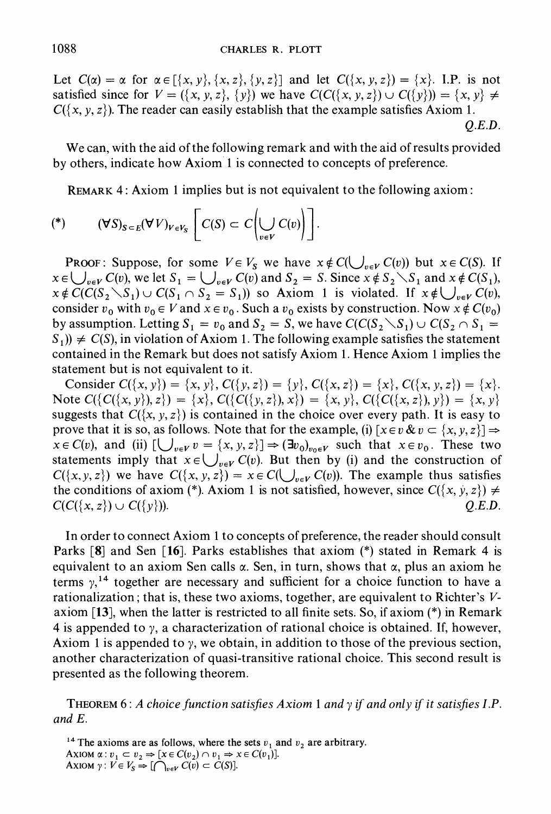Let  $C(\alpha) = \alpha$  for  $\alpha \in [\{x, y\}, \{x, z\}, \{y, z\}]$  and let  $C(\{x, y, z\}) = \{x\}$ . I.P. is not **satisfied since for**  $V = (\{x, y, z\}, \{y\})$  we have  $C(C(\{x, y, z\}) \cup C(\{y\})) = \{x, y\} \neq 0$  $C({x, y, z})$ . The reader can easily establish that the example satisfies Axiom 1. **Q.E.D.** 

**We can, with the aid of the following remark and with the aid of results provided by others, indicate how Axiom 1 is connected to concepts of preference.** 

**REMARK 4: Axiom 1 implies but is not equivalent to the following axiom:** 

$$
(\ast) \qquad (\forall S)_{S \subset E} (\forall V)_{V \in V_S} \left[ C(S) \subset C \Biggl( \bigcup_{v \in V} C(v) \Biggr) \right].
$$

**PROOF:** Suppose, for some  $V \in V_S$  we have  $x \notin C(\bigcup_{v \in V} C(v))$  but  $x \in C(S)$ . If  $x \in \bigcup_{v \in V} C(v)$ , we let  $S_1 = \bigcup_{v \in V} C(v)$  and  $S_2 = S$ . Since  $x \notin S_2 \setminus S_1$  and  $x \notin C(S_1)$ ,  $x \notin C(C(S_2 \setminus S_1) \cup C(S_1 \cap S_2 = S_1))$  so Axiom 1 is violated. If  $x \notin \bigcup_{v \in V} C(v)$ , consider  $v_0$  with  $v_0 \in V$  and  $x \in v_0$ . Such a  $v_0$  exists by construction. Now  $x \notin C(v_0)$ by assumption. Letting  $S_1 = v_0$  and  $S_2 = S$ , we have  $C(C(S_2 \setminus S_1) \cup C(S_2 \cap S_1 =$  $S_1$ )  $\neq C(S)$ , in violation of Axiom 1. The following example satisfies the statement **contained in the Remark but does not satisfy Axiom 1. Hence Axiom 1 implies the statement but is not equivalent to it.** 

Consider  $C({x, y}) = {x, y}$ ,  $C({y, z}) = {y}$ ,  $C({x, z}) = {x}$ ,  $C({x, y, z}) = {x}$ . Note  $C({C(x, y), z}) = {x}, C({C(y, z), x}) = {x, y}, C({C(x, z), y}) = {x, y}$ suggests that  $C(\{x, y, z\})$  is contained in the choice over every path. It is easy to **prove that it is so, as follows. Note that for the example, (i)**  $[x \in v \& v \in \{x, y, z\}] \Rightarrow$  $x \in C(v)$ , and (ii)  $[\bigcup_{v \in V} v = \{x, y, z\}] \Rightarrow (\exists v_0)_{v_0 \in V}$  such that  $x \in v_0$ . These two statements imply that  $x \in \bigcup_{v \in V} C(v)$ . But then by (i) and the construction of  $C(\{x, y, z\})$  we have  $C(\{x, y, z\}) = x \in C(\bigcup_{v \in V} C(v))$ . The example thus satisfies the conditions of axiom (\*). Axiom 1 is not satisfied, however, since  $C({x, y, z}) \neq$  $C(C({x, z}) \cup C({y})).$  Q.E.D.

**In order to connect Axiom I to concepts of preference, the reader should consult Parks [8] and Sen [16]. Parks establishes that axiom (\*) stated in Remark 4 is equivalent to an axiom Sen calls a. Sen, in turn, shows that a, plus an axiom he**  terms  $y<sub>1</sub><sup>14</sup>$  together are necessary and sufficient for a choice function to have a **rationalization; that is, these two axioms, together, are equivalent to Richter's Vaxiom [13], when the latter is restricted to all finite sets. So, if axiom (\*) in Remark 4 is appended to y, a characterization of rational choice is obtained. If, however, Axiom 1 is appended to y, we obtain, in addition to those of the previous section, another characterization of quasi-transitive rational choice. This second result is presented as the following theorem.** 

**THEOREM 6: A choice function satisfies Axiom 1 and y if and only if it satisfies I.P. and E.** 

<sup>&</sup>lt;sup>14</sup> The axioms are as follows, where the sets  $v_1$  and  $v_2$  are arbitrary. **AXIOM**  $\alpha$ :  $v_1 \subset v_2 \Rightarrow [x \in C(v_2) \cap v_1 \Rightarrow x \in C(v_1)]$ **AXIOM**  $\gamma: V \in V_s \Rightarrow [\bigcap_{v \in V} C(v) \subset C(S)].$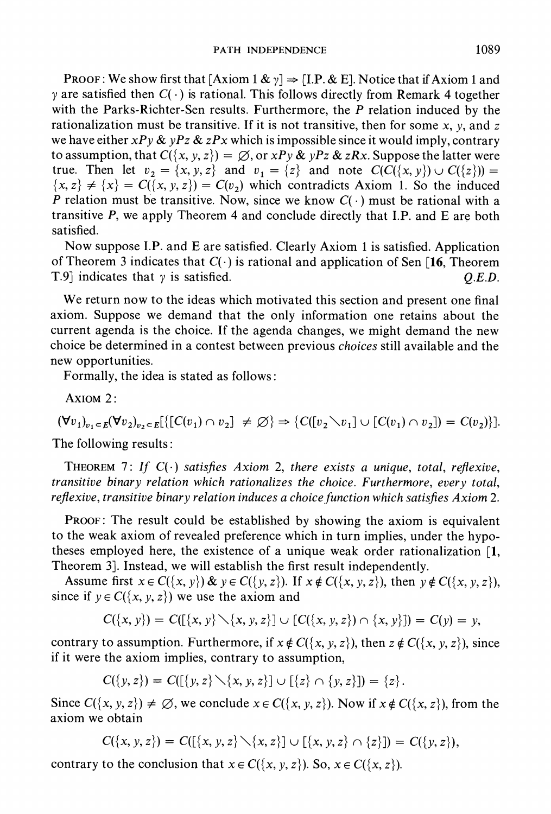**PROOF:** We show first that  $[Ax \text{ is an } \& \gamma] \Rightarrow [I.P. \& E]$ . Notice that if Axiom 1 and  $\gamma$  are satisfied then  $C(\cdot)$  is rational. This follows directly from Remark 4 together **with the Parks-Richter-Sen results. Furthermore, the P relation induced by the**  rationalization must be transitive. If it is not transitive, then for some  $x$ ,  $y$ , and  $z$ we have either  $xPy \& yPz \& zPx$  which is impossible since it would imply, contrary to assumption, that  $C({x, y, z}) = \emptyset$ , or  $xPy \& yPz \& zRx$ . Suppose the latter were **true.** Then let  $v_2 = \{x, y, z\}$  and  $v_1 = \{z\}$  and note  $C(C(\{x, y\}) \cup C(\{z\})) =$  $\{x, z\} \neq \{x\} = C(\{x, y, z\}) = C(v_2)$  which contradicts Axiom 1. So the induced **P** relation must be transitive. Now, since we know  $C(\cdot)$  must be rational with a **transitive P, we apply Theorem 4 and conclude directly that I.P. and E are both satisfied.** 

**Now suppose I.P. and E are satisfied. Clearly Axiom 1 is satisfied. Application**  of Theorem 3 indicates that  $C(\cdot)$  is rational and application of Sen [16, Theorem **T.9**] indicates that  $\gamma$  is satisfied.  $Q.E.D.$ 

**We return now to the ideas which motivated this section and present one final axiom. Suppose we demand that the only information one retains about the current agenda is the choice. If the agenda changes, we might demand the new choice be determined in a contest between previous choices still available and the new opportunities.** 

**Formally, the idea is stated as follows:** 

**AxIOM 2:** 

$$
(\forall v_1)_{v_1 \in E} (\forall v_2)_{v_2 \in E} [\{ [C(v_1) \cap v_2] \neq \emptyset \} \Rightarrow \{ C([v_2 \setminus v_1] \cup [C(v_1) \cap v_2]) = C(v_2) \}].
$$

**The following results:** 

**THEOREM** 7: If  $C(\cdot)$  satisfies Axiom 2, there exists a unique, total, reflexive, **transitive binary relation which rationalizes the choice. Furthermore, every total, reflexive, transitive binary relation induces a choicefunction which satisfies Axiom 2.** 

**PROOF: The result could be established by showing the axiom is equivalent to the weak axiom of revealed preference which in turn implies, under the hypotheses employed here, the existence of a unique weak order rationalization [1, Theorem 3]. Instead, we will establish the first result independently.** 

Assume first  $x \in C({x, y}) \& y \in C({y, z})$ . If  $x \notin C({x, y, z})$ , then  $y \notin C({x, y, z})$ , since if  $y \in C({x, y, z})$  we use the axiom and

$$
C({x, y}) = C([\{x, y\} \setminus {x, y, z}] \cup [C({x, y, z}) \cap {x, y}]) = C(y) = y,
$$

contrary to assumption. Furthermore, if  $x \notin C({x, y, z})$ , then  $z \notin C({x, y, z})$ , since **if it were the axiom implies, contrary to assumption,** 

 $C({y, z}) = C({[y, z] \setminus {x, y, z}] \cup [{z \setminus {y, z}]}] = {z}.$ 

Since  $C({x, y, z}) \neq \emptyset$ , we conclude  $x \in C({x, y, z})$ . Now if  $x \notin C({x, z})$ , from the **axiom we obtain** 

$$
C({x, y, z}) = C([\{x, y, z\} \setminus {x, z}] \cup [\{x, y, z\} \cap {z}]) = C({y, z}),
$$

**contrary to the conclusion that**  $x \in C({x, y, z})$ **. So,**  $x \in C({x, z})$ **.**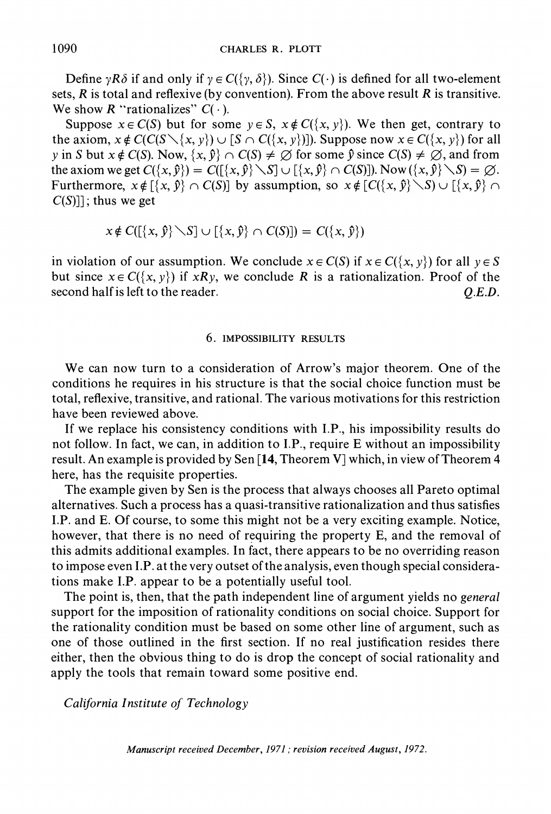**Define**  $\gamma R\delta$  **if and only if**  $\gamma \in C(\{\gamma, \delta\})$ **. Since**  $C(\cdot)$  **is defined for all two-element sets, R is total and reflexive (by convention). From the above result R is transitive.**  We show  $R$  "rationalizes"  $C(\cdot)$ .

Suppose  $x \in C(S)$  but for some  $y \in S$ ,  $x \notin C({x, y})$ . We then get, contrary to the axiom,  $x \notin C(C(S\setminus\{x, y\}) \cup [S \cap C(\{x, y\})])$ . Suppose now  $x \in C(\{x, y\})$  for all **y** in S but  $x \notin C(S)$ . Now,  $\{x, \hat{y}\} \cap C(S) \neq \emptyset$  for some  $\hat{y}$  since  $C(S) \neq \emptyset$ , and from **the axiom we get**  $C(\lbrace x, \hat{y} \rbrace) = C([\lbrace x, \hat{y} \rbrace \setminus S] \cup [\lbrace x, \hat{y} \rbrace \cap C(S)])$ **. Now**  $(\lbrace x, \hat{y} \rbrace \setminus S) = \emptyset$ **. Furthermore,**  $x \notin [\{x, \hat{y}\} \cap C(S)]$  by assumption, so  $x \notin [C(\{x, \hat{y}\} \setminus S) \cup [\{x, \hat{y}\} \cap C(S)]$  $C(S)$ ]; thus we get

$$
x \notin C([\{x, \hat{y}\} \setminus S] \cup [\{x, \hat{y}\} \cap C(S)]) = C(\{x, \hat{y}\})
$$

in violation of our assumption. We conclude  $x \in C(S)$  if  $x \in C({x, y})$  for all  $y \in S$ but since  $x \in C({x, y})$  if  $xRy$ , we conclude R is a rationalization. Proof of the **second half is left to the reader.**  $Q.E.D.$ 

### **6. IMPOSSIBILITY RESULTS**

**We can now turn to a consideration of Arrow's major theorem. One of the conditions he requires in his structure is that the social choice function must be total, reflexive, transitive, and rational. The various motivations for this restriction have been reviewed above.** 

**If we replace his consistency conditions with I.P., his impossibility results do not follow. In fact, we can, in addition to I.P., require E without an impossibility result. An example is provided by Sen [14, Theorem V] which, in view of Theorem 4 here, has the requisite properties.** 

**The example given by Sen is the process that always chooses all Pareto optimal alternatives. Such a process has a quasi-transitive rationalization and thus satisfies I.P. and E. Of course, to some this might not be a very exciting example. Notice, however, that there is no need of requiring the property E, and the removal of this admits additional examples. In fact, there appears to be no overriding reason to impose even I.P. at the very outset of the analysis, even though special considerations make I.P. appear to be a potentially useful tool.** 

**The point is, then, that the path independent line of argument yields no general support for the imposition of rationality conditions on social choice. Support for the rationality condition must be based on some other line of argument, such as one of those outlined in the first section. If no real justification resides there either, then the obvious thing to do is drop the concept of social rationality and apply the tools that remain toward some positive end.** 

**California Institute of Technology**